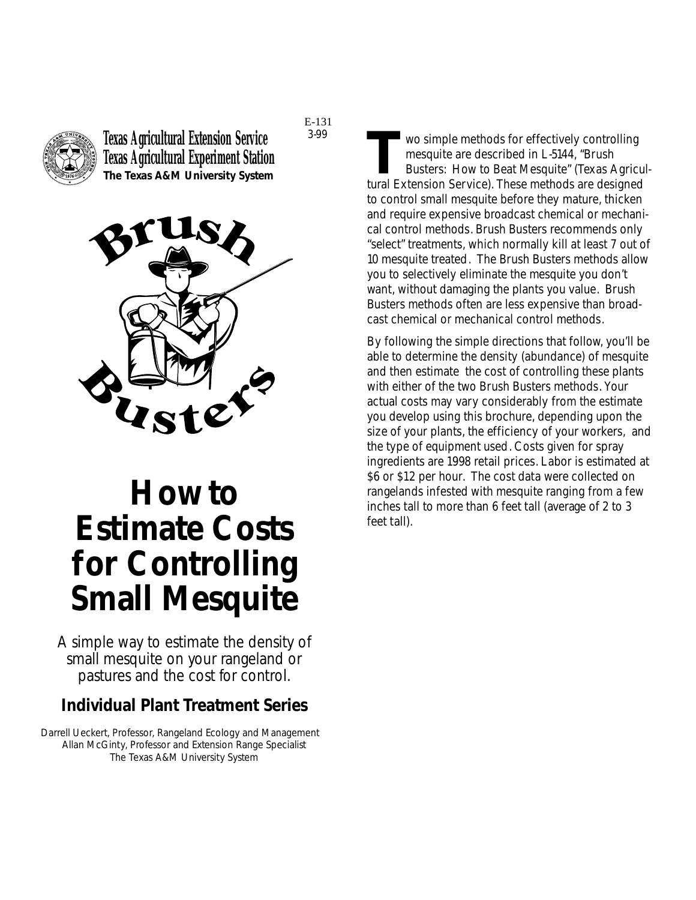

**Texas Agricultural Extension Service Texas Agricultural Experiment Station The Texas A&M University System**

3-99

E-131



# **How to Estimate Costs for Controlling Small Mesquite**

*A simple way to estimate the density of small mesquite on your rangeland or pastures and the cost for control.*

#### **Individual Plant Treatment Series**

Darrell Ueckert, Professor, Rangeland Ecology and Management Allan McGinty, Professor and Extension Range Specialist The Texas A&M University System

**THE TENN WE SET WE SET UP:** WE SIMPLE ME THE ME THE SURFACT BUSINESS PURITE THE SURFACT POST FOR SAFE THAT FOR THE SURFACT THAT THE SURFACT THAT THE SURFACT THAT THE SURFACT THE SURFACT THAT THE SURFACT THAT THE SURFACT T mesquite are described in L-5144, "Brush Busters: How to Beat Mesquite" (Texas Agricultural Extension Service). These methods are designed to control small mesquite before they mature, thicken and require expensive broadcast chemical or mechanical control methods. Brush Busters recommends only "select" treatments, which normally kill at least 7 out of 10 mesquite treated. The Brush Busters methods allow you to selectively eliminate the mesquite you don't want, without damaging the plants you value. Brush Busters methods often are less expensive than broadcast chemical or mechanical control methods.

By following the simple directions that follow, you'll be able to determine the density (abundance) of mesquite and then estimate the cost of controlling these plants with either of the two Brush Busters methods. Your actual costs may vary considerably from the estimate you develop using this brochure, depending upon the size of your plants, the efficiency of your workers, and the type of equipment used. Costs given for spray ingredients are 1998 retail prices. Labor is estimated at \$6 or \$12 per hour. The cost data were collected on rangelands infested with mesquite ranging from a few inches tall to more than 6 feet tall (average of 2 to 3 feet tall).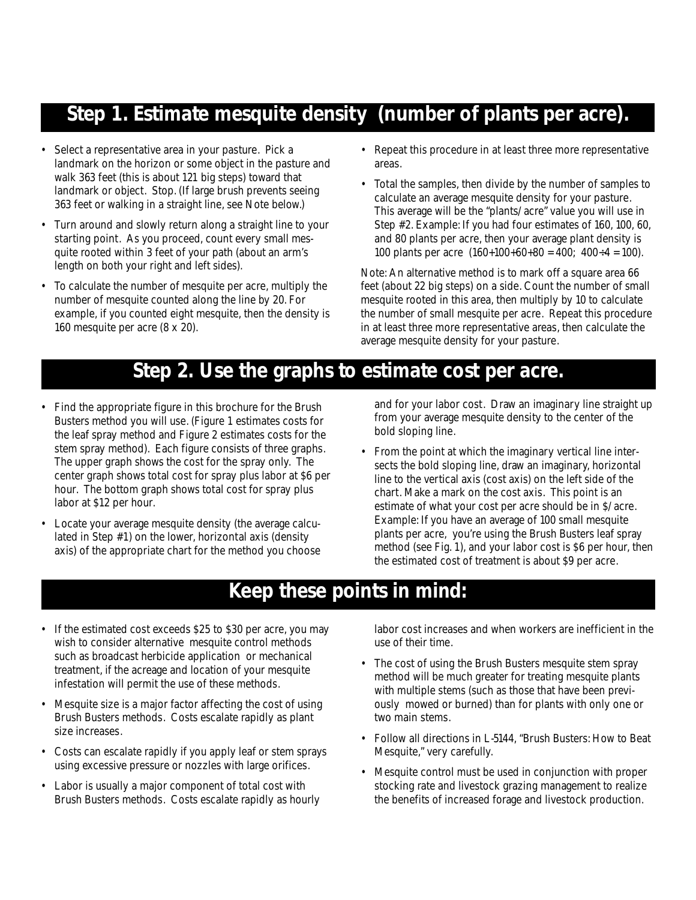## **Step 1. Estimate mesquite density (number of plants per acre).**

- Select a representative area in your pasture. Pick a landmark on the horizon or some object in the pasture and walk 363 feet (this is about 121 big steps) toward that landmark or object. Stop. (If large brush prevents seeing 363 feet or walking in a straight line, see Note below.)
- Turn around and slowly return along a straight line to your starting point. As you proceed, count every small mesquite rooted within 3 feet of your path (about an arm's length on both your right and left sides).
- To calculate the number of mesquite per acre, multiply the number of mesquite counted along the line by 20. For example, if you counted eight mesquite, then the density is 160 mesquite per acre (8 x 20).
- Repeat this procedure in at least three more representative areas.
- Total the samples, then divide by the number of samples to calculate an average mesquite density for your pasture. This average will be the "plants/acre" value you will use in Step #2. Example: If you had four estimates of 160, 100, 60, and 80 plants per acre, then your average plant density is 100 plants per acre  $(160+100+60+80 = 400; 400 \div 4 = 100)$ .

Note: An alternative method is to mark off a square area 66 feet (about 22 big steps) on a side. Count the number of small mesquite rooted in this area, then multiply by 10 to calculate the number of small mesquite per acre. Repeat this procedure in at least three more representative areas, then calculate the average mesquite density for your pasture.

## **Step 2. Use the graphs to estimate cost per acre.**

- Find the appropriate figure in this brochure for the Brush Busters method you will use. (Figure 1 estimates costs for the leaf spray method and Figure 2 estimates costs for the stem spray method). Each figure consists of three graphs. The upper graph shows the cost for the spray only. The center graph shows total cost for spray plus labor at \$6 per hour. The bottom graph shows total cost for spray plus labor at \$12 per hour.
- Locate your average mesquite density (the average calculated in Step #1) on the lower, horizontal axis (density axis) of the appropriate chart for the method you choose

and for your labor cost. Draw an imaginary line straight up from your average mesquite density to the center of the bold sloping line.

• From the point at which the imaginary vertical line intersects the bold sloping line, draw an imaginary, horizontal line to the vertical axis (cost axis) on the left side of the chart. Make a mark on the cost axis. This point is an estimate of what your cost per acre should be in \$/acre. Example: If you have an average of 100 small mesquite plants per acre, you're using the Brush Busters leaf spray method (see Fig. 1), and your labor cost is \$6 per hour, then the estimated cost of treatment is about \$9 per acre.

## **Keep these points in mind:**

- If the estimated cost exceeds \$25 to \$30 per acre, you may wish to consider alternative mesquite control methods such as broadcast herbicide application or mechanical treatment, if the acreage and location of your mesquite infestation will permit the use of these methods.
- Mesquite size is a major factor affecting the cost of using Brush Busters methods. Costs escalate rapidly as plant size increases.
- Costs can escalate rapidly if you apply leaf or stem sprays using excessive pressure or nozzles with large orifices.
- Labor is usually a major component of total cost with Brush Busters methods. Costs escalate rapidly as hourly

labor cost increases and when workers are inefficient in the use of their time.

- The cost of using the Brush Busters mesquite stem spray method will be much greater for treating mesquite plants with multiple stems (such as those that have been previously mowed or burned) than for plants with only one or two main stems.
- Follow all directions in L-5144, "Brush Busters: How to Beat Mesquite," very carefully.
- Mesquite control must be used in conjunction with proper stocking rate and livestock grazing management to realize the benefits of increased forage and livestock production.